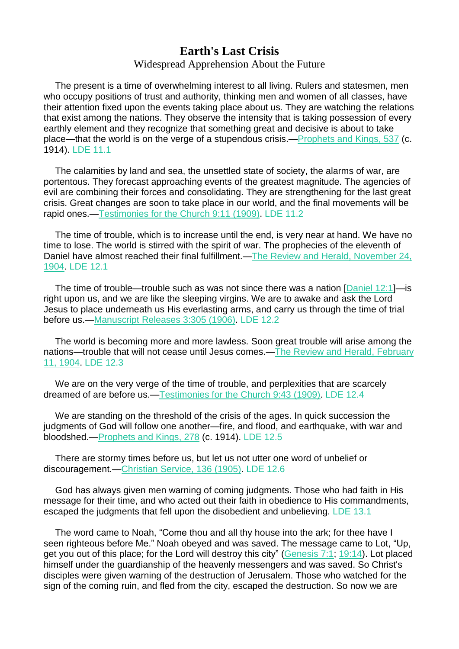## **Earth's Last Crisis**

## Widespread Apprehension About the Future

The present is a time of overwhelming interest to all living. Rulers and statesmen, men who occupy positions of trust and authority, thinking men and women of all classes, have their attention fixed upon the events taking place about us. They are watching the relations that exist among the nations. They observe the intensity that is taking possession of every earthly element and they recognize that something great and decisive is about to take place—that the world is on the verge of a stupendous crisis.[—Prophets](https://m.egwwritings.org/en/book/88.2390#2390) and Kings, 537 (c. 1914). LDE 11.1

The calamities by land and sea, the unsettled state of society, the alarms of war, are portentous. They forecast approaching events of the greatest magnitude. The agencies of evil are combining their forces and consolidating. They are strengthening for the last great crisis. Great changes are soon to take place in our world, and the final movements will be rapid ones.[—Testimonies](https://m.egwwritings.org/en/book/115.52#52) for the Church 9:11 (1909). LDE 11.2

The time of trouble, which is to increase until the end, is very near at hand. We have no time to lose. The world is stirred with the spirit of war. The prophecies of the eleventh of Daniel have almost reached their final fulfillment.—The Review and Herald, [November](https://m.egwwritings.org/en/book/821.24851#24851) 24, [1904.](https://m.egwwritings.org/en/book/821.24851#24851) LDE 12.1

The time of trouble—trouble such as was not since there was a nation [\[Daniel](https://m.egwwritings.org/en/book/1965.45056#45056) 12:1]—is right upon us, and we are like the sleeping virgins. We are to awake and ask the Lord Jesus to place underneath us His everlasting arms, and carry us through the time of trial before us.[—Manuscript](https://m.egwwritings.org/en/book/69.1651#1651) Releases 3:305 (1906). LDE 12.2

The world is becoming more and more lawless. Soon great trouble will arise among the nations—trouble that will not cease until Jesus comes.—The Review and Herald, [February](https://m.egwwritings.org/en/book/821.23886#23886) 11, [1904.](https://m.egwwritings.org/en/book/821.23886#23886) LDE 12.3

We are on the very verge of the time of trouble, and perplexities that are scarcely dreamed of are before us.[—Testimonies](https://m.egwwritings.org/en/book/115.229#229) for the Church 9:43 (1909). LDE 12.4

We are standing on the threshold of the crisis of the ages. In quick succession the judgments of God will follow one another—fire, and flood, and earthquake, with war and bloodshed.[—Prophets](https://m.egwwritings.org/en/book/88.1232#1232) and Kings, 278 (c. 1914). LDE 12.5

There are stormy times before us, but let us not utter one word of unbelief or discouragement.[—Christian](https://m.egwwritings.org/en/book/13.948#948) Service, 136 (1905). LDE 12.6

God has always given men warning of coming judgments. Those who had faith in His message for their time, and who acted out their faith in obedience to His commandments, escaped the judgments that fell upon the disobedient and unbelieving. LDE 13.1

The word came to Noah, "Come thou and all thy house into the ark; for thee have I seen righteous before Me." Noah obeyed and was saved. The message came to Lot, "Up, get you out of this place; for the Lord will destroy this city" [\(Genesis](https://m.egwwritings.org/en/book/1965.331#331) 7:1; [19:14\)](https://m.egwwritings.org/en/book/1965.965#965). Lot placed himself under the guardianship of the heavenly messengers and was saved. So Christ's disciples were given warning of the destruction of Jerusalem. Those who watched for the sign of the coming ruin, and fled from the city, escaped the destruction. So now we are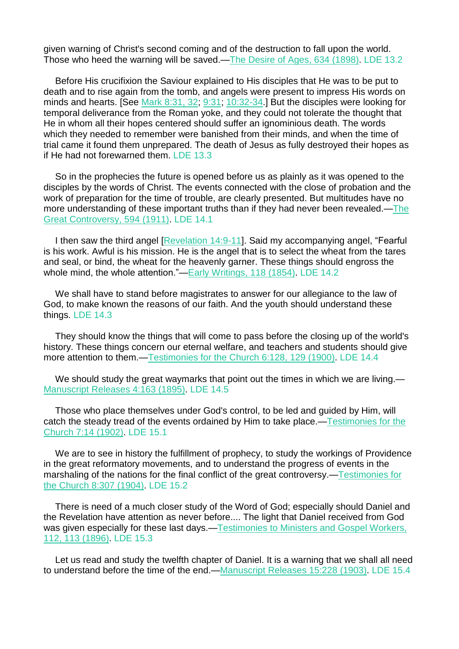given warning of Christ's second coming and of the destruction to fall upon the world. Those who heed the warning will be saved.—The Desire of Ages, 634 [\(1898\).](https://m.egwwritings.org/en/book/130.3115#3115) LDE 13.2

Before His crucifixion the Saviour explained to His disciples that He was to be put to death and to rise again from the tomb, and angels were present to impress His words on minds and hearts. [See Mark [8:31,](https://m.egwwritings.org/en/book/1965.50071#50071) 32; [9:31;](https://m.egwwritings.org/en/book/1965.50148#50148) [10:32-34.](https://m.egwwritings.org/en/book/1965.50251#50251)] But the disciples were looking for temporal deliverance from the Roman yoke, and they could not tolerate the thought that He in whom all their hopes centered should suffer an ignominious death. The words which they needed to remember were banished from their minds, and when the time of trial came it found them unprepared. The death of Jesus as fully destroyed their hopes as if He had not forewarned them. LDE 13.3

So in the prophecies the future is opened before us as plainly as it was opened to the disciples by the words of Christ. The events connected with the close of probation and the work of preparation for the time of trouble, are clearly presented. But multitudes have no more understanding of these important truths than if they had never been revealed.[—The](https://m.egwwritings.org/en/book/132.2685#2685) Great [Controversy,](https://m.egwwritings.org/en/book/132.2685#2685) 594 (1911). LDE 14.1

I then saw the third angel [\[Revelation](https://m.egwwritings.org/en/book/1965.63120#63120) 14:9-11]. Said my accompanying angel, "Fearful is his work. Awful is his mission. He is the angel that is to select the wheat from the tares and seal, or bind, the wheat for the heavenly garner. These things should engross the whole mind, the whole attention."-Early [Writings,](https://m.egwwritings.org/en/book/28.682#682) 118 (1854). LDE 14.2

We shall have to stand before magistrates to answer for our allegiance to the law of God, to make known the reasons of our faith. And the youth should understand these things. LDE 14.3

They should know the things that will come to pass before the closing up of the world's history. These things concern our eternal welfare, and teachers and students should give more attention to them.[—Testimonies](https://m.egwwritings.org/en/book/118.722#722) for the Church 6:128, 129 (1900). LDE 14.4

We should study the great waymarks that point out the times in which we are living.— [Manuscript](https://m.egwwritings.org/en/book/57.805#805) Releases 4:163 (1895). LDE 14.5

Those who place themselves under God's control, to be led and guided by Him, will catch the steady tread of the events ordained by Him to take place.[—Testimonies](https://m.egwwritings.org/en/book/117.63#63) for the [Church](https://m.egwwritings.org/en/book/117.63#63) 7:14 (1902). LDE 15.1

We are to see in history the fulfillment of prophecy, to study the workings of Providence in the great reformatory movements, and to understand the progress of events in the marshaling of the nations for the final conflict of the great controversy.[—Testimonies](https://m.egwwritings.org/en/book/112.1856#1856) for the [Church](https://m.egwwritings.org/en/book/112.1856#1856) 8:307 (1904). LDE 15.2

There is need of a much closer study of the Word of God; especially should Daniel and the Revelation have attention as never before.... The light that Daniel received from God was given especially for these last days.[—Testimonies](https://m.egwwritings.org/en/book/123.3010#3010) to Ministers and Gospel Workers, 112, 113 [\(1896\).](https://m.egwwritings.org/en/book/123.3010#3010) LDE 15.3

Let us read and study the twelfth chapter of Daniel. It is a warning that we shall all need to understand before the time of the end.[—Manuscript](https://m.egwwritings.org/en/book/55.1136#1136) Releases 15:228 (1903). LDE 15.4